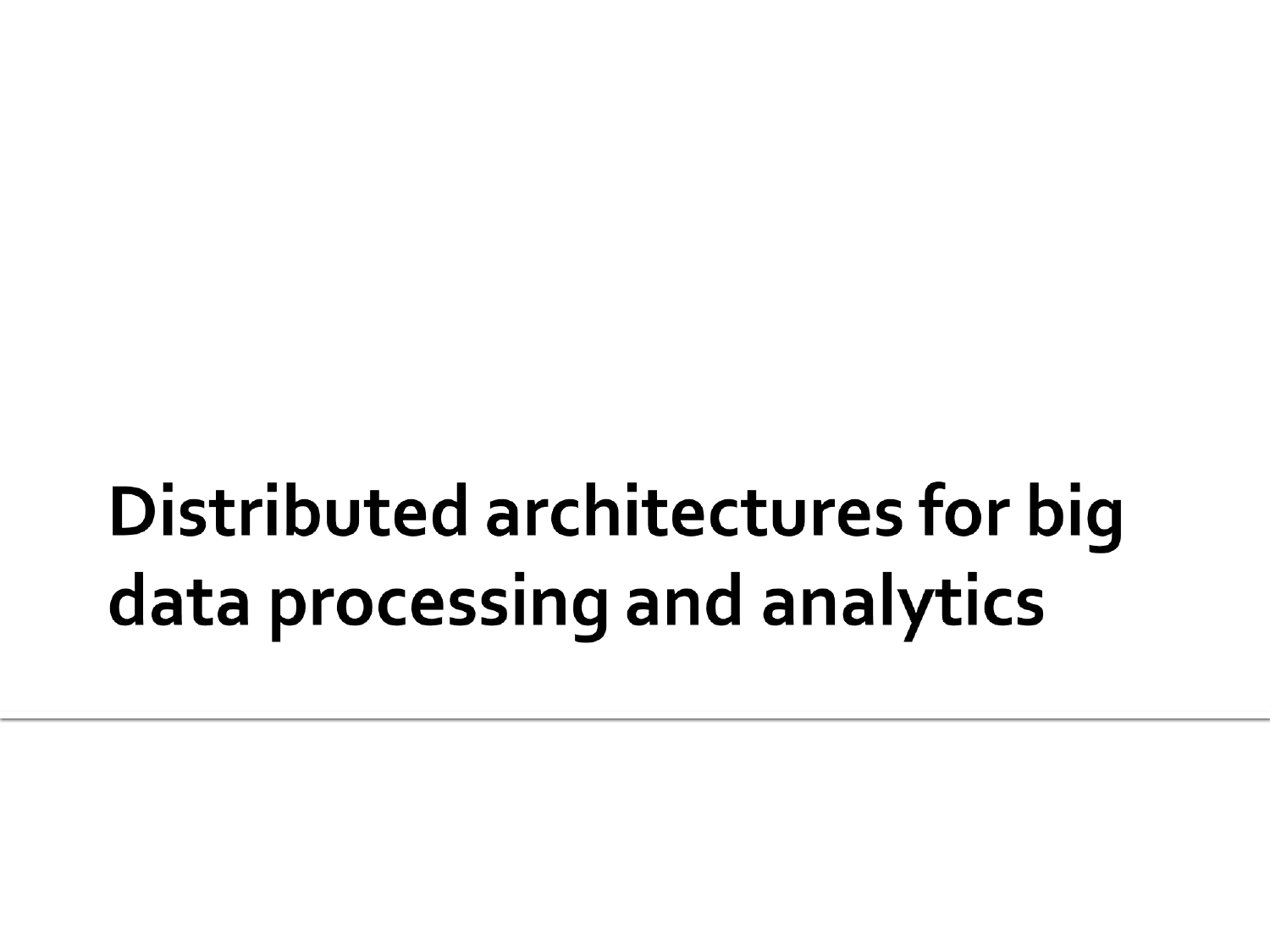#### Distributed architectures for big data processing and analytics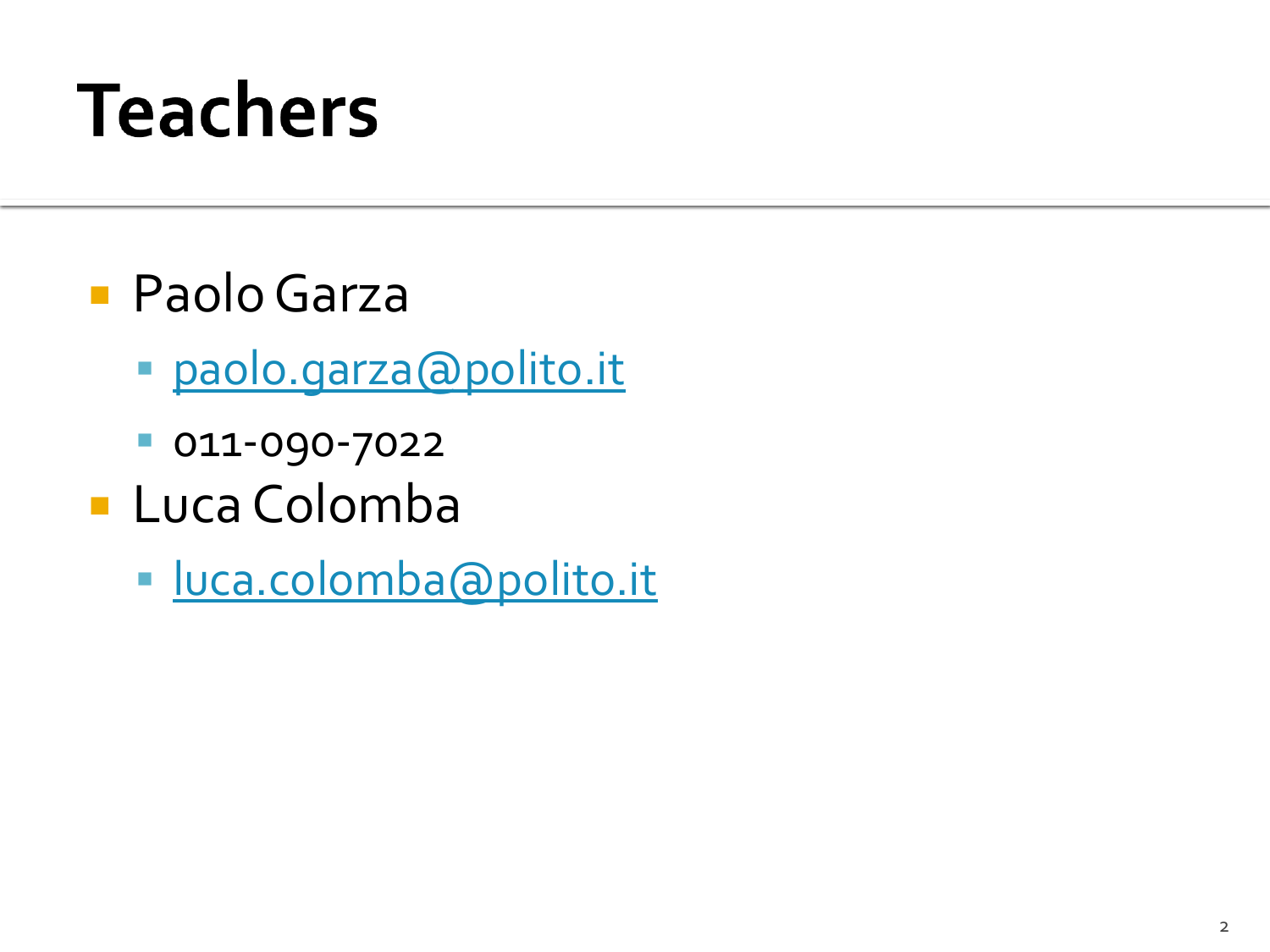#### **Teachers**

- Paolo Garza
	- [paolo.garza@polito.it](mailto:paolo.garza@polito.it)
	- 011-090-7022
- **Luca Colomba** 
	- [luca.colomba@polito.it](mailto:luca.colomba@polito.it)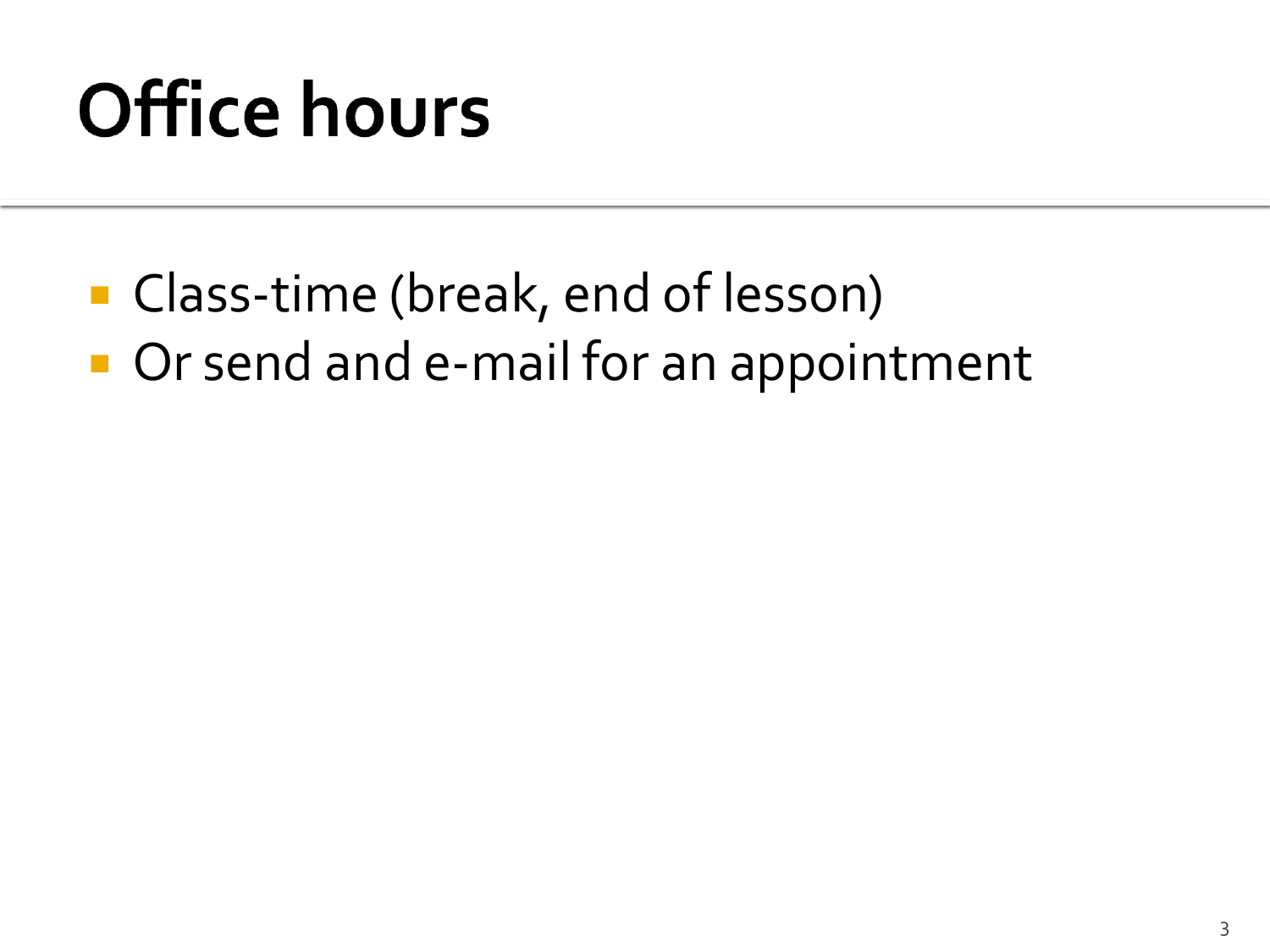#### **Office hours**

■ Class-time (break, end of lesson) **Or send and e-mail for an appointment**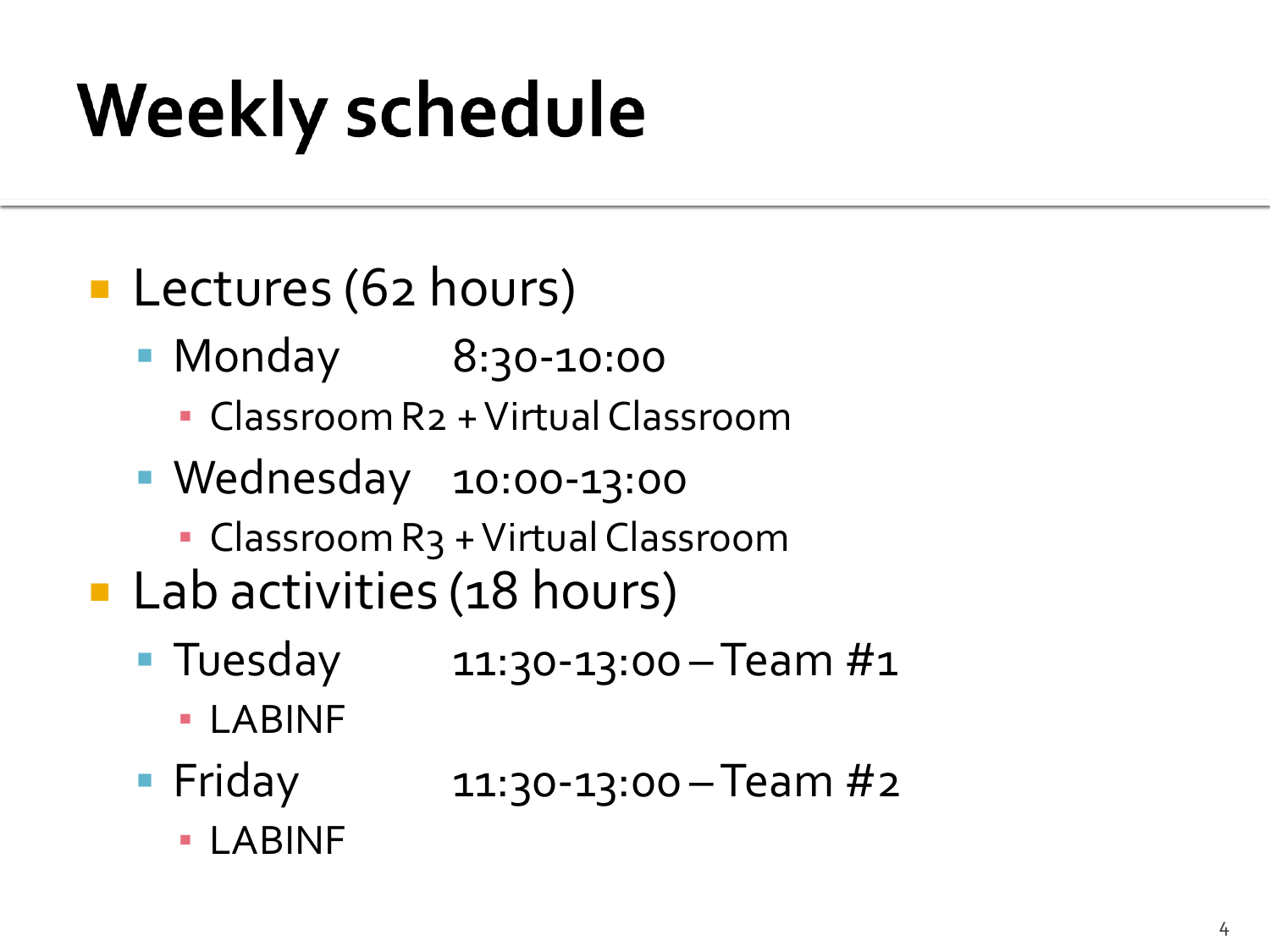## **Weekly schedule**

#### **Lectures (62 hours)**

- Monday 8:30-10:00
	- Classroom R2 + Virtual Classroom
- **Wednesday 10:00-13:00** 
	- Classroom R3 + Virtual Classroom
- **Lab activities (18 hours)** 
	- Tuesday  $11:30-13:00 Team H1$ 
		- LABINF
	- **Fiday** 11:30-13:00 Team #2
		- LABINF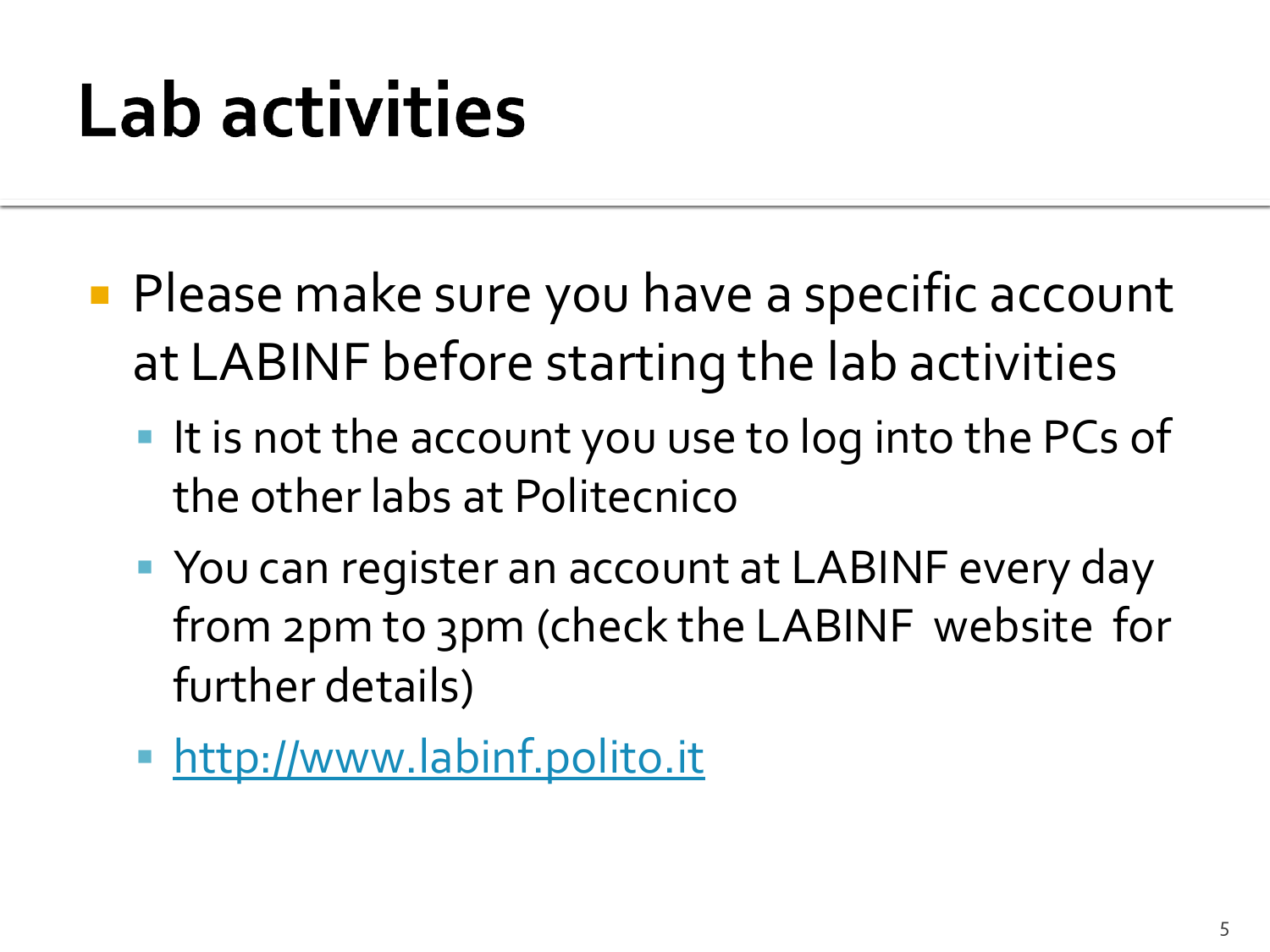## Lab activities

- **Please make sure you have a specific account** at LABINF before starting the lab activities
	- It is not the account you use to log into the PCs of the other labs at Politecnico
	- **P** You can register an account at LABINF every day from 2pm to 3pm (check the LABINF website for further details)
	- **[http://www.labinf.polito.it](http://www.labinf.polito.it/)**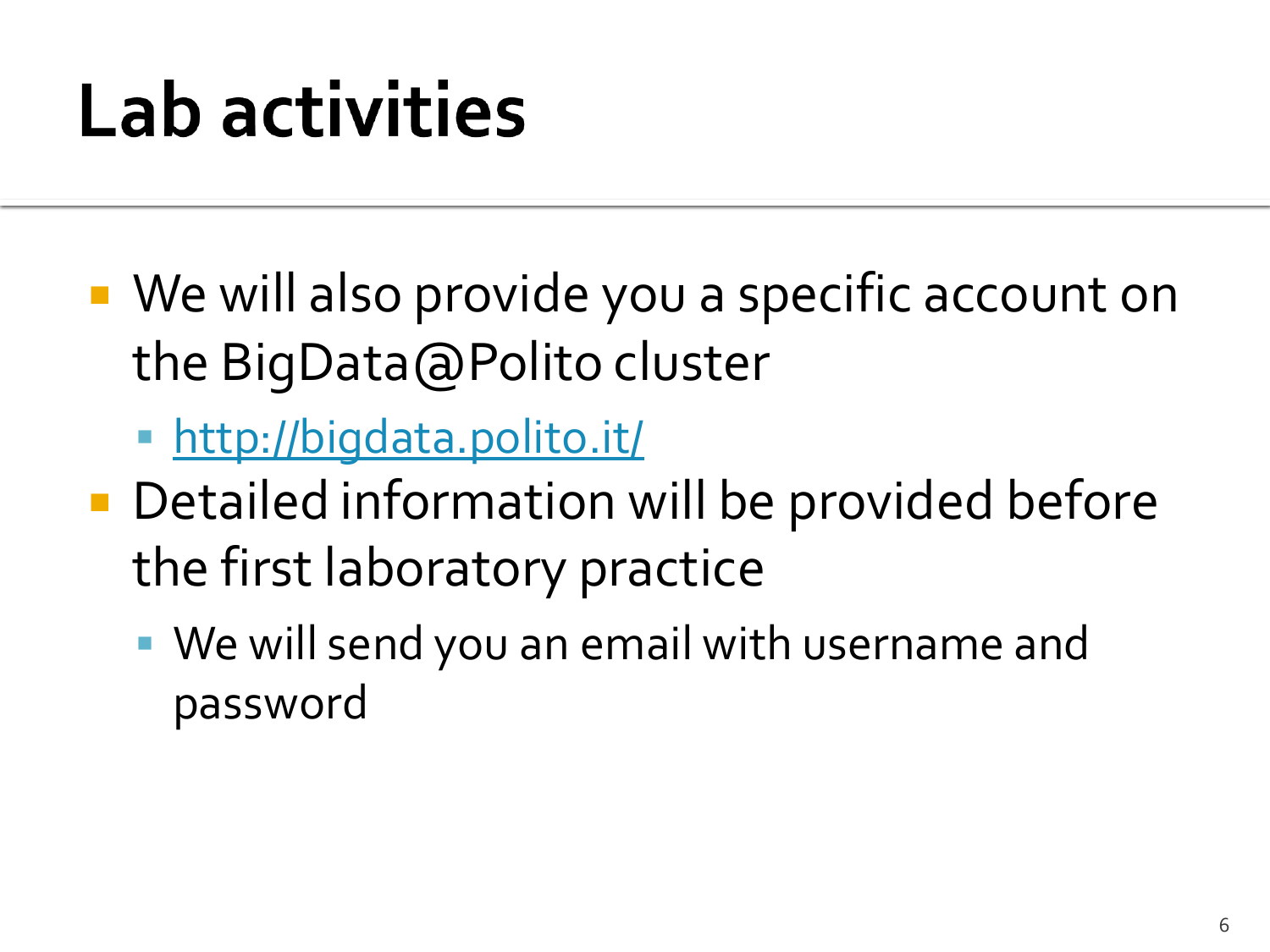## Lab activities

- We will also provide you a specific account on the BigData@Polito cluster
	- <http://bigdata.polito.it/>
- Detailed information will be provided before the first laboratory practice
	- We will send you an email with username and password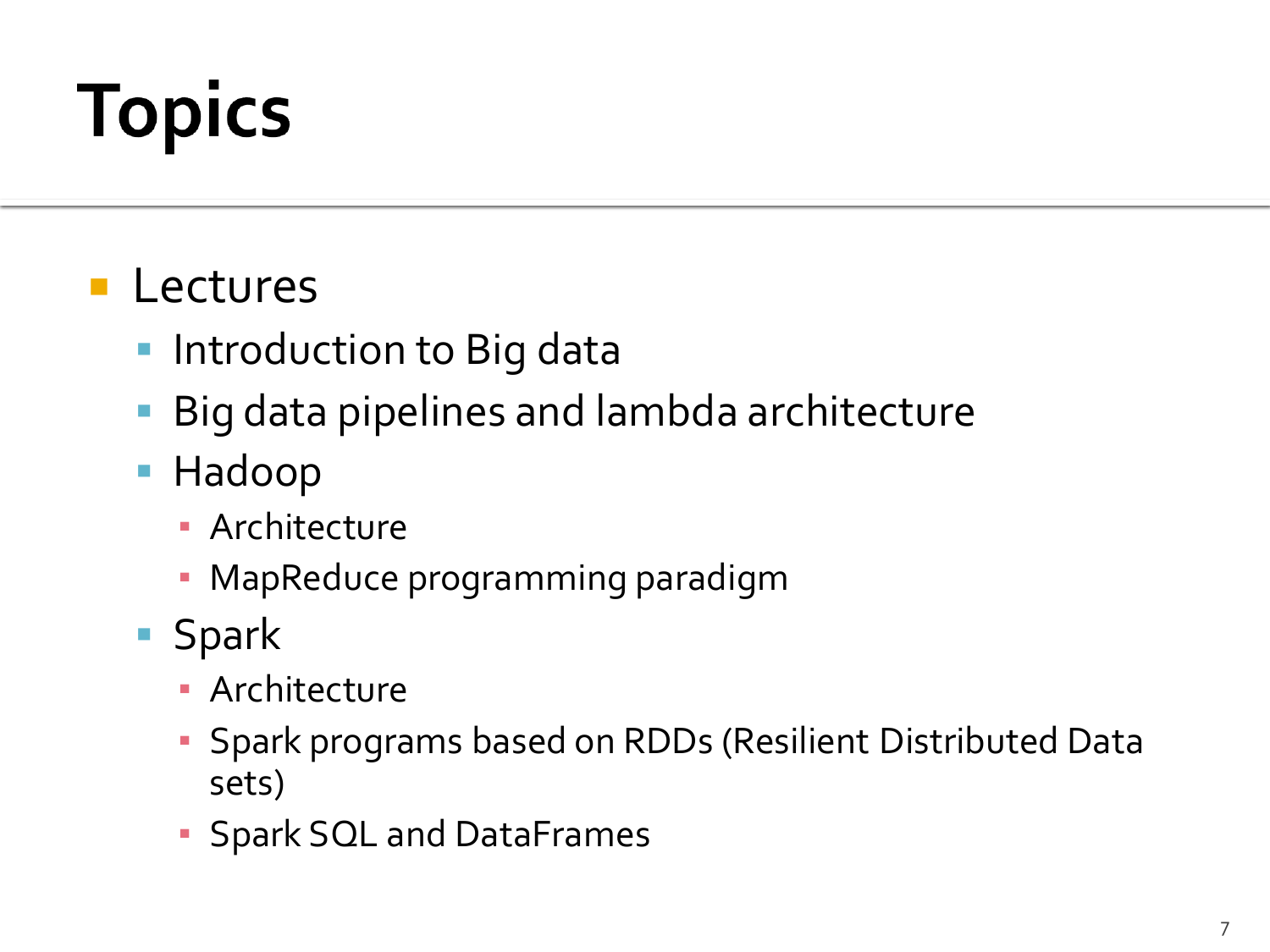# **Topics**

#### **Lectures**

- **Introduction to Big data**
- Big data pipelines and lambda architecture
- **Hadoop** 
	- **E** Architecture
	- **MapReduce programming paradigm**
- **Spark** 
	- **E** Architecture
	- Spark programs based on RDDs (Resilient Distributed Data sets)
	- Spark SQL and DataFrames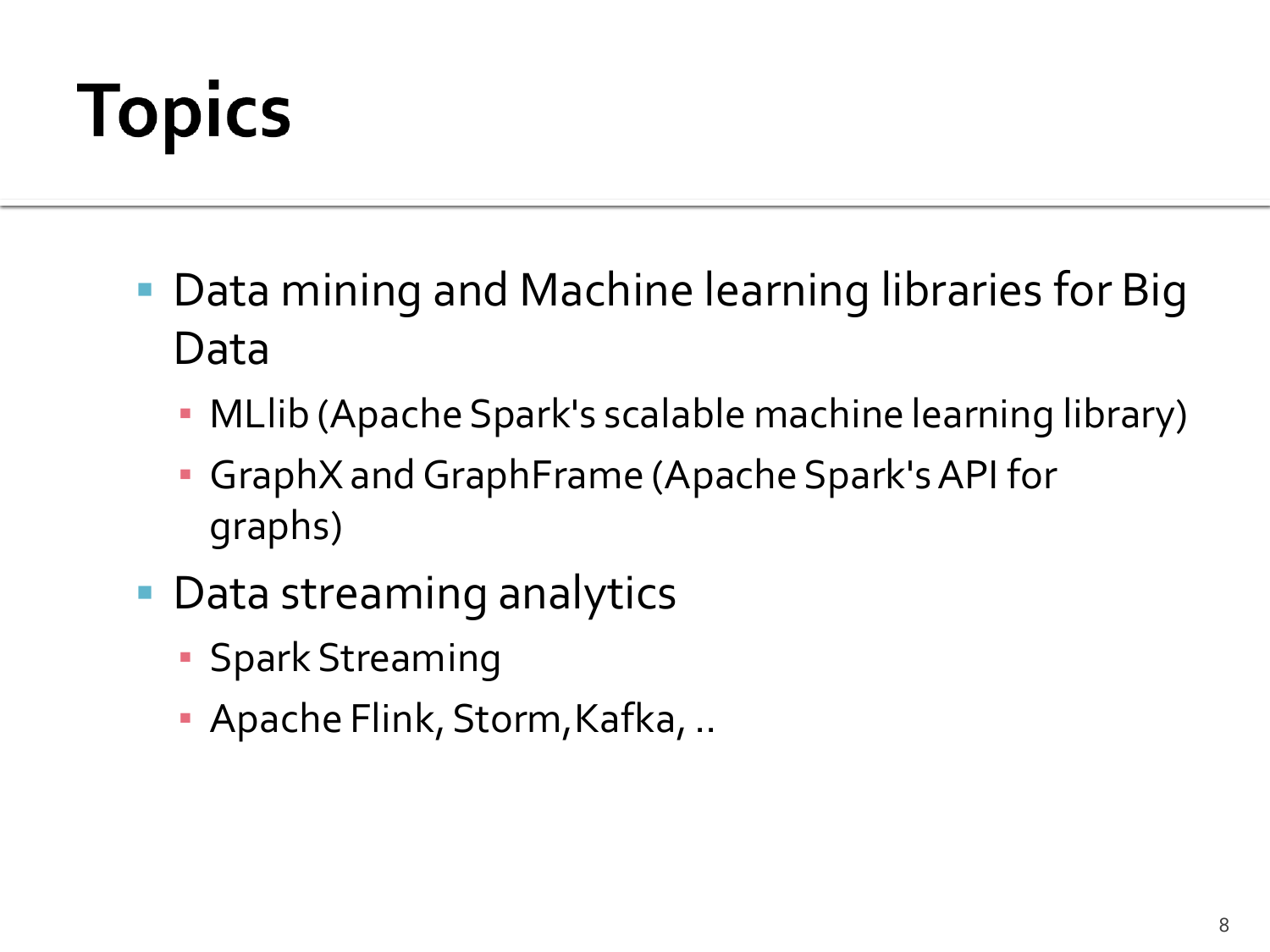## **Topics**

- Data mining and Machine learning libraries for Big Data
	- MLlib (Apache Spark's scalable machine learning library)
	- GraphX and GraphFrame (Apache Spark's API for graphs)
- Data streaming analytics
	- **Spark Streaming**
	- Apache Flink, Storm,Kafka, ..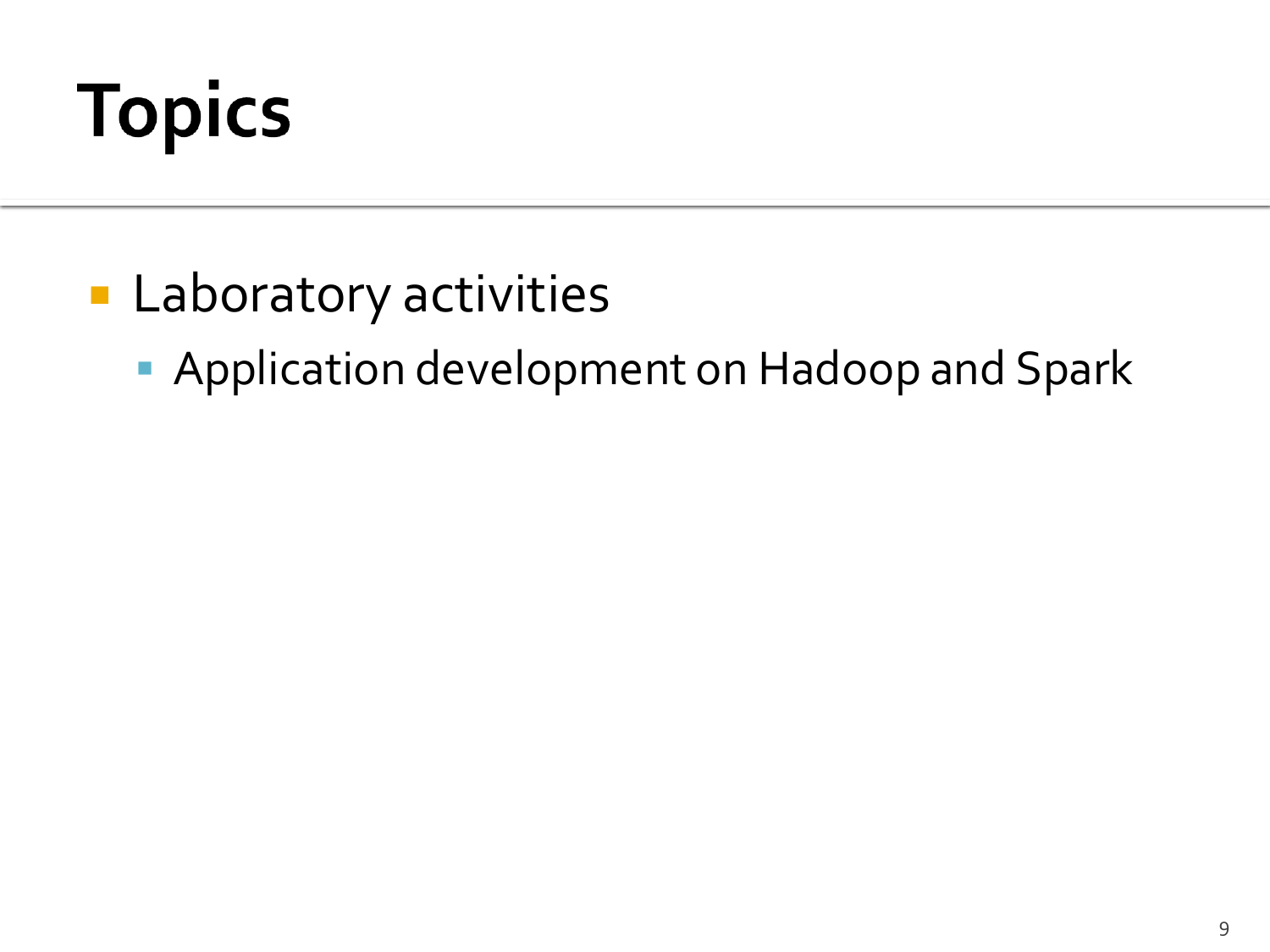## **Topics**

- **Laboratory activities** 
	- **Application development on Hadoop and Spark**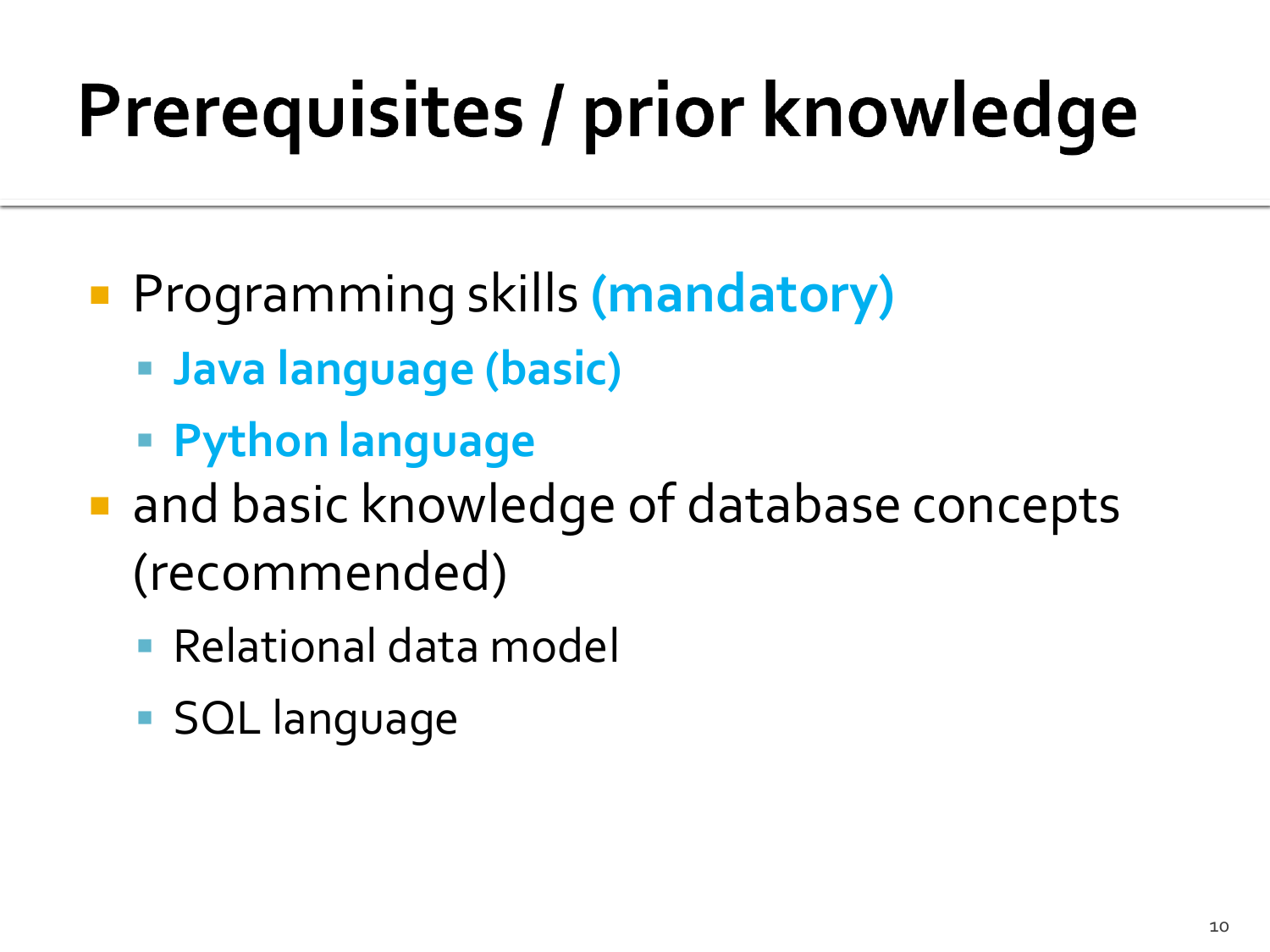# Prerequisites / prior knowledge

- Programming skills **(mandatory)**
	- **Java language (basic)**
	- **Python language**
- **and basic knowledge of database concepts** (recommended)
	- Relational data model
	- SQL language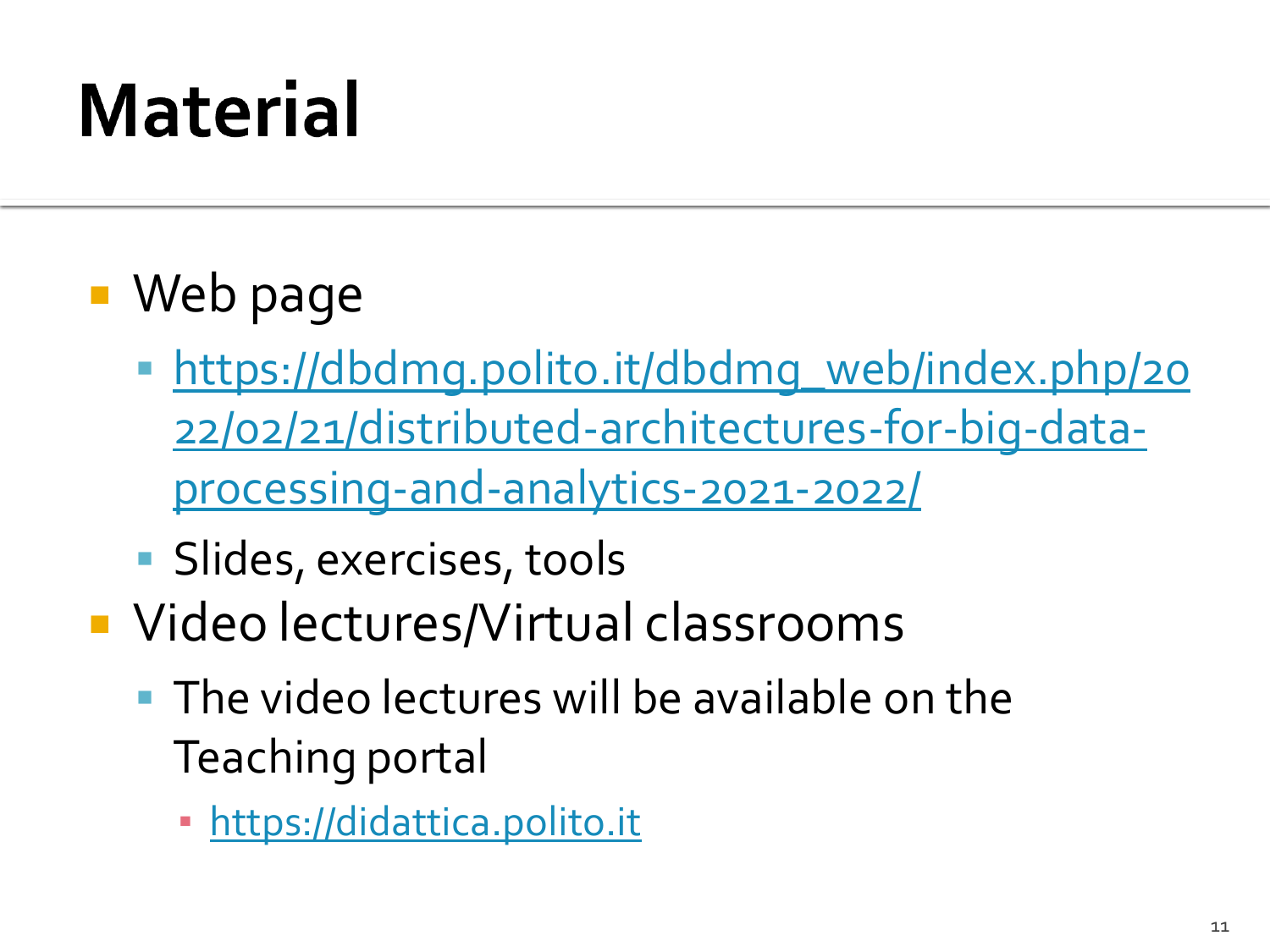## **Material**

- Web page
	- [https://dbdmg.polito.it/dbdmg\\_web/index.php/20](https://dbdmg.polito.it/wordpress/teaching/distributed-architectures-for-big-data-processing-and-analytics-2020-2021) [22/02/21/distributed-architectures-for-big-data](https://dbdmg.polito.it/wordpress/teaching/distributed-architectures-for-big-data-processing-and-analytics-2020-2021)[processing-and-analytics-2021-2022/](https://dbdmg.polito.it/wordpress/teaching/distributed-architectures-for-big-data-processing-and-analytics-2020-2021)
	- **Slides, exercises, tools**
- Video lectures/Virtual classrooms
	- **The video lectures will be available on the** Teaching portal
		- [https://didattica.polito.it](https://didattica.polito.it/)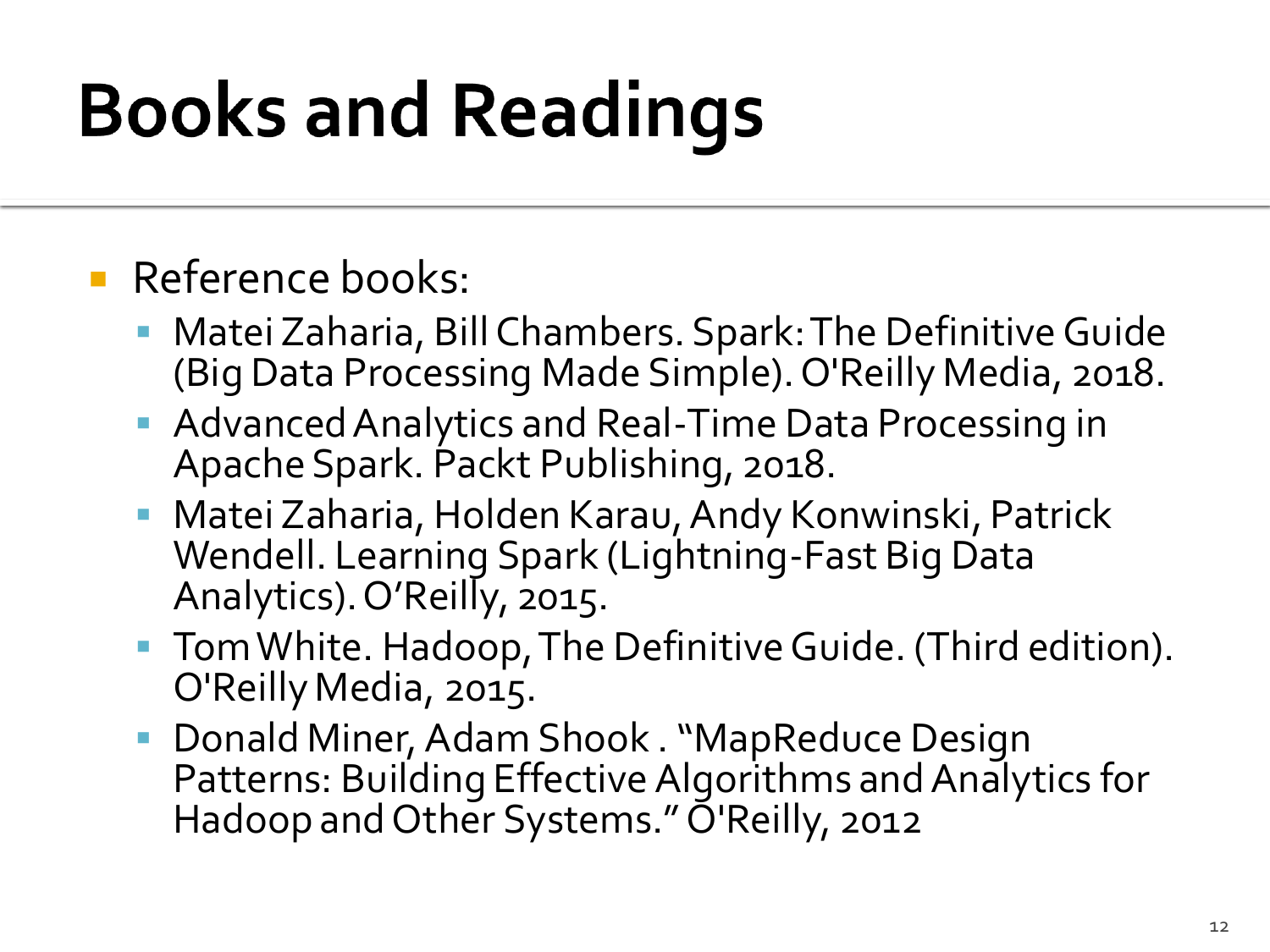## **Books and Readings**

#### **Reference books:**

- Matei Zaharia, Bill Chambers. Spark: The Definitive Guide (Big Data Processing Made Simple). O'Reilly Media, 2018.
- Advanced Analytics and Real-Time Data Processing in Apache Spark. Packt Publishing, 2018.
- Matei Zaharia, Holden Karau, Andy Konwinski, Patrick Wendell. Learning Spark (Lightning-Fast Big Data Analytics). O'Reilly, 2015.
- Tom White. Hadoop, The Definitive Guide. (Third edition). O'Reilly Media, 2015.
- Donald Miner, Adam Shook . "MapReduce Design Patterns: Building Effective Algorithms and Analytics for Hadoop and Other Systems." O'Reilly, 2012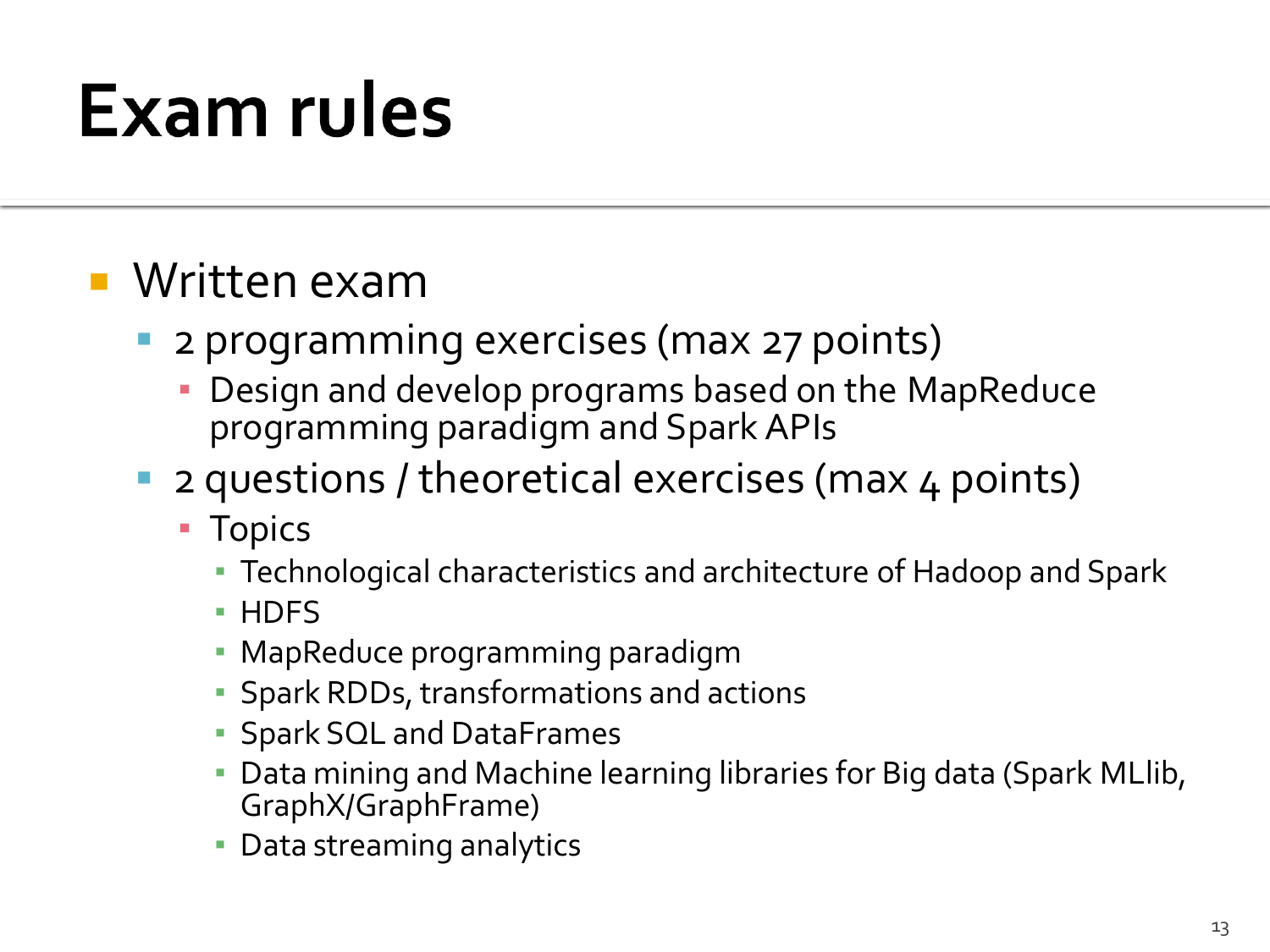#### **Exam rules**

#### Written exam

- **2 programming exercises (max 27 points)** 
	- Design and develop programs based on the MapReduce programming paradigm and Spark APIs
- **2** questions / theoretical exercises (max 4 points)
	- Topics
		- Technological characteristics and architecture of Hadoop and Spark
		- HDFS
		- MapReduce programming paradigm
		- **Spark RDDs, transformations and actions**
		- **Spark SQL and DataFrames**
		- Data mining and Machine learning libraries for Big data (Spark MLlib, GraphX/GraphFrame)
		- **Data streaming analytics**